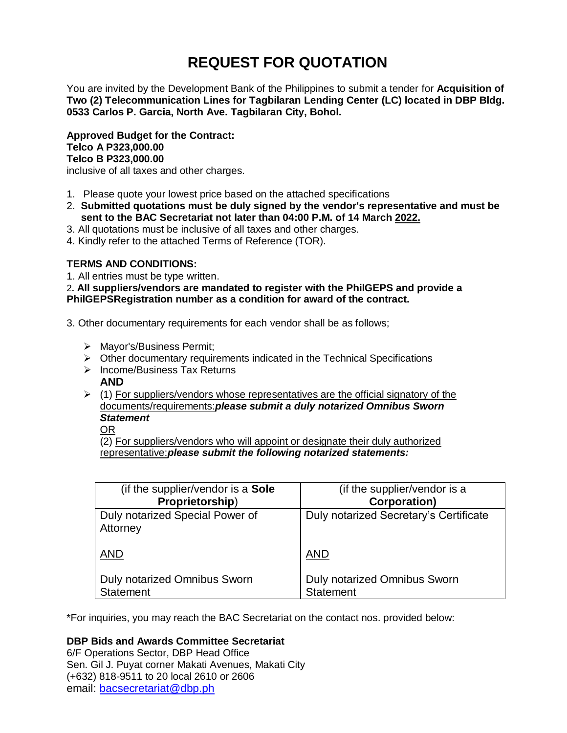# **REQUEST FOR QUOTATION**

You are invited by the Development Bank of the Philippines to submit a tender for **Acquisition of Two (2) Telecommunication Lines for Tagbilaran Lending Center (LC) located in DBP Bldg. 0533 Carlos P. Garcia, North Ave. Tagbilaran City, Bohol.**

**Approved Budget for the Contract: Telco A P323,000.00 Telco B P323,000.00**

inclusive of all taxes and other charges.

- 1. Please quote your lowest price based on the attached specifications
- 2. **Submitted quotations must be duly signed by the vendor's representative and must be sent to the BAC Secretariat not later than 04:00 P.M. of 14 March 2022.**
- 3. All quotations must be inclusive of all taxes and other charges.
- 4. Kindly refer to the attached Terms of Reference (TOR).

# **TERMS AND CONDITIONS:**

1. All entries must be type written.

2**. All suppliers/vendors are mandated to register with the PhilGEPS and provide a PhilGEPSRegistration number as a condition for award of the contract.**

- 3. Other documentary requirements for each vendor shall be as follows;
	- > Mayor's/Business Permit;
	- $\triangleright$  Other documentary requirements indicated in the Technical Specifications
	- $\triangleright$  Income/Business Tax Returns **AND**
	- $(1)$  For suppliers/vendors whose representatives are the official signatory of the documents/requirements:*please submit a duly notarized Omnibus Sworn Statement*

OR

(2) For suppliers/vendors who will appoint or designate their duly authorized representative:*please submit the following notarized statements:*

| (if the supplier/vendor is a Sole           | (if the supplier/vendor is a           |
|---------------------------------------------|----------------------------------------|
| Proprietorship)                             | <b>Corporation)</b>                    |
| Duly notarized Special Power of<br>Attorney | Duly notarized Secretary's Certificate |
| <b>AND</b>                                  | <b>AND</b>                             |
| <b>Duly notarized Omnibus Sworn</b>         | Duly notarized Omnibus Sworn           |
| <b>Statement</b>                            | <b>Statement</b>                       |

\*For inquiries, you may reach the BAC Secretariat on the contact nos. provided below:

# **DBP Bids and Awards Committee Secretariat**

6/F Operations Sector, DBP Head Office Sen. Gil J. Puyat corner Makati Avenues, Makati City (+632) 818-9511 to 20 local 2610 or 2606 email: [bacsecretariat@dbp.ph](mailto:bacsecretariat@dbp.ph)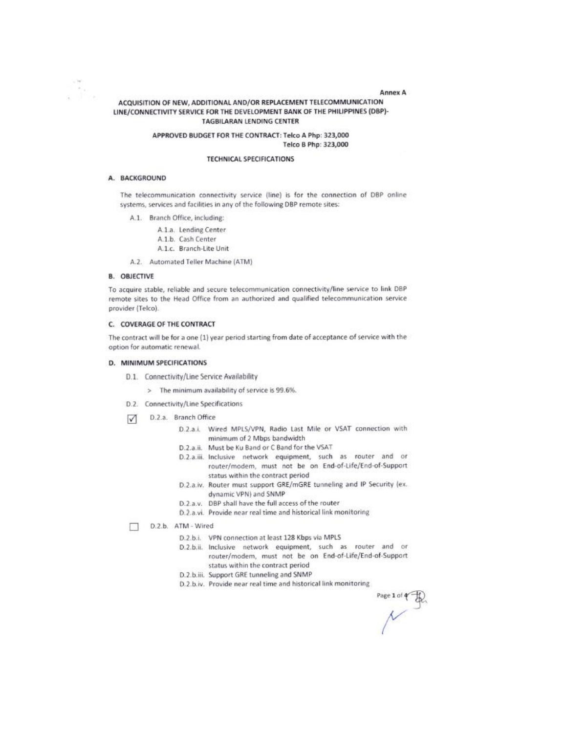ACQUISITION OF NEW, ADDITIONAL AND/OR REPLACEMENT TELECOMMUNICATION LINE/CONNECTIVITY SERVICE FOR THE DEVELOPMENT BANK OF THE PHILIPPINES (DBP)-TAGBILARAN LENDING CENTER

#### APPROVED BUDGET FOR THE CONTRACT: Telco A Php: 323,000 Telco B Php: 323,000

#### **TECHNICAL SPECIFICATIONS**

#### A. BACKGROUND

R.,

The telecommunication connectivity service (line) is for the connection of DBP online systems, services and facilities in any of the following DBP remote sites:

- A.1. Branch Office, including:
	- A.1.a. Lending Center
	- A.1.b. Cash Center
	- A.1.c. Branch-Lite Unit
- A.2. Automated Teller Machine (ATM)

#### **B. OBJECTIVE**

To acquire stable, reliable and secure telecommunication connectivity/line service to link DBP remote sites to the Head Office from an authorized and qualified telecommunication service provider (Telco).

#### C. COVERAGE OF THE CONTRACT

The contract will be for a one (1) year period starting from date of acceptance of service with the option for automatic renewal.

## D. MINIMUM SPECIFICATIONS

- D.1. Connectivity/Line Service Availability
	- > The minimum availability of service is 99.6%.
- D.2. Connectivity/Line Specifications
- D.2.a. Branch Office  $\sqrt{ }$ 
	- D.2.a.i. Wired MPLS/VPN, Radio Last Mile or VSAT connection with minimum of 2 Mbps bandwidth
	- D.2.a.ii. Must be Ku Band or C Band for the VSAT
	- D.2.a.iii. Inclusive network equipment, such as router and or router/modem, must not be on End-of-Life/End-of-Support status within the contract period
	- D.2.a.iv. Router must support GRE/mGRE tunneling and IP Security (ex. dynamic VPN) and SNMP
	- D.2.a.v. DBP shall have the full access of the router
	- D.2.a.vi. Provide near real time and historical link monitoring
- D.2.b. ATM Wired  $\Box$ 
	- D.2.b.i. VPN connection at least 128 Kbps via MPLS
	- D.2.b.ii. Inclusive network equipment, such as router and or router/modem, must not be on End-of-Life/End-of-Support status within the contract period
	- D.2.b.iii. Support GRE tunneling and SNMP
	- D.2.b.iv. Provide near real time and historical link monitoring

Annex A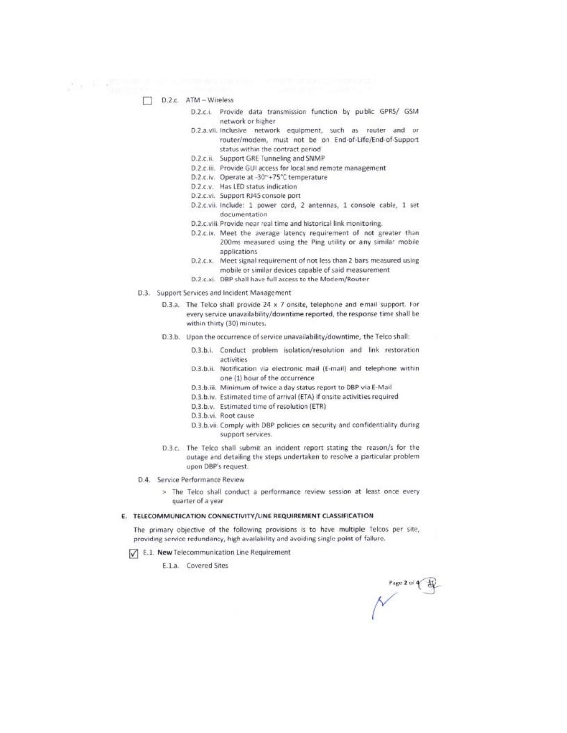$\Box$  D.2.c. ATM - Wireless

 $\mathcal{P} \times \mathcal{P} \to \mathcal{P}$ 

- D.2.c.i. Provide data transmission function by public GPRS/ GSM network or higher
- D.2.a.vii. Inclusive network equipment, such as router and or router/modem, must not be on End-of-Life/End-of-Support status within the contract period
- D.2.c.ii. Support GRE Tunneling and SNMP
- D.2.c.iii. Provide GUI access for local and remote management
- D.2.c.iv. Operate at -30~+75°C temperature
- D.2.c.v. Has LED status indication
- D.2.c.vi. Support RJ45 console port
- D.2.c.vii. Include: 1 power cord, 2 antennas, 1 console cable, 1 set documentation
- D.2.c.viii. Provide near real time and historical link monitoring.
- D.2.c.ix. Meet the average latency requirement of not greater than 200ms measured using the Ping utility or any similar mobile applications
- D.2.c.x. Meet signal requirement of not less than 2 bars measured using mobile or similar devices capable of said measurement
- D.2.c.xi. DBP shall have full access to the Modem/Router
- D.3. Support Services and Incident Management
	- D.3.a. The Telco shall provide 24 x 7 onsite, telephone and email support. For every service unavailability/downtime reported, the response time shall be within thirty (30) minutes.
	- D.3.b. Upon the occurrence of service unavailability/downtime, the Telco shall:
		- D.3.b.i. Conduct problem isolation/resolution and link restoration activities
		- D.3.b.ii. Notification via electronic mail (E-mail) and telephone within one (1) hour of the occurrence
		- D.3.b.iii. Minimum of twice a day status report to DBP via E-Mail
		- D.3.b.iv. Estimated time of arrival (ETA) if onsite activities required
		- D.3.b.v. Estimated time of resolution (ETR)
		- D.3.b.vi. Root cause
		- D.3.b.vii. Comply with DBP policies on security and confidentiality during support services.
	- D.3.c. The Telco shall submit an incident report stating the reason/s for the outage and detailing the steps undertaken to resolve a particular problem upon DBP's request.
- D.4. Service Performance Review
	- > The Telco shall conduct a performance review session at least once every quarter of a year

#### E. TELECOMMUNICATION CONNECTIVITY/LINE REQUIREMENT CLASSIFICATION

The primary objective of the following provisions is to have multiple Telcos per site, providing service redundancy, high availability and avoiding single point of failure.

E.1. New Telecommunication Line Requirement

E.1.a. Covered Sites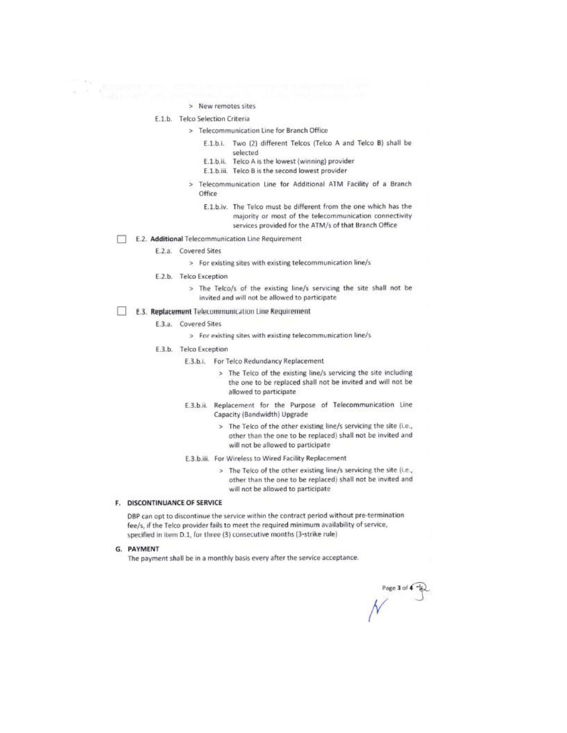- > New remotes sites
- E.1.b. Telco Selection Criteria

 $\epsilon \rightarrow -250000$ 

- > Telecommunication Line for Branch Office
	- E.1.b.i. Two (2) different Telcos (Telco A and Telco B) shall be selected
	- E.1.b.ii. Telco A is the lowest (winning) provider
	- E.1.b.iii. Telco B is the second lowest provider
	- > Telecommunication Line for Additional ATM Facility of a Branch Office
		- E.1.b.iv. The Telco must be different from the one which has the majority or most of the telecommunication connectivity services provided for the ATM/s of that Branch Office
- E.2. Additional Telecommunication Line Requirement
	- E.2.a. Covered Sites
		- > For existing sites with existing telecommunication line/s
	- E.2.b. Telco Exception
		- > The Telco/s of the existing line/s servicing the site shall not be invited and will not be allowed to participate
- T. E.3. Replacement Telecommunication Line Requirement
	- E.3.a. Covered Sites
		- > For existing sites with existing telecommunication line/s
	- E.3.b. Telco Exception
		- E.3.b.i. For Telco Redundancy Replacement
			- > The Telco of the existing line/s servicing the site including the one to be replaced shall not be invited and will not be allowed to participate
		- E.3.b.ii. Replacement for the Purpose of Telecommunication Line Capacity (Bandwidth) Upgrade
			- > The Telco of the other existing line/s servicing the site (i.e., other than the one to be replaced) shall not be invited and will not be allowed to participate
		- E.3.b.iii. For Wireless to Wired Facility Replacement
			- > The Telco of the other existing line/s servicing the site (i.e., other than the one to be replaced) shall not be invited and will not be allowed to participate

#### F. DISCONTINUANCE OF SERVICE

DBP can opt to discontinue the service within the contract period without pre-termination fee/s, if the Telco provider fails to meet the required minimum availability of service, specified in item D.1, for three (3) consecutive months (3-strike rule)

G. PAYMENT

The payment shall be in a monthly basis every after the service acceptance.

rage 3 of  $\overline{+}$